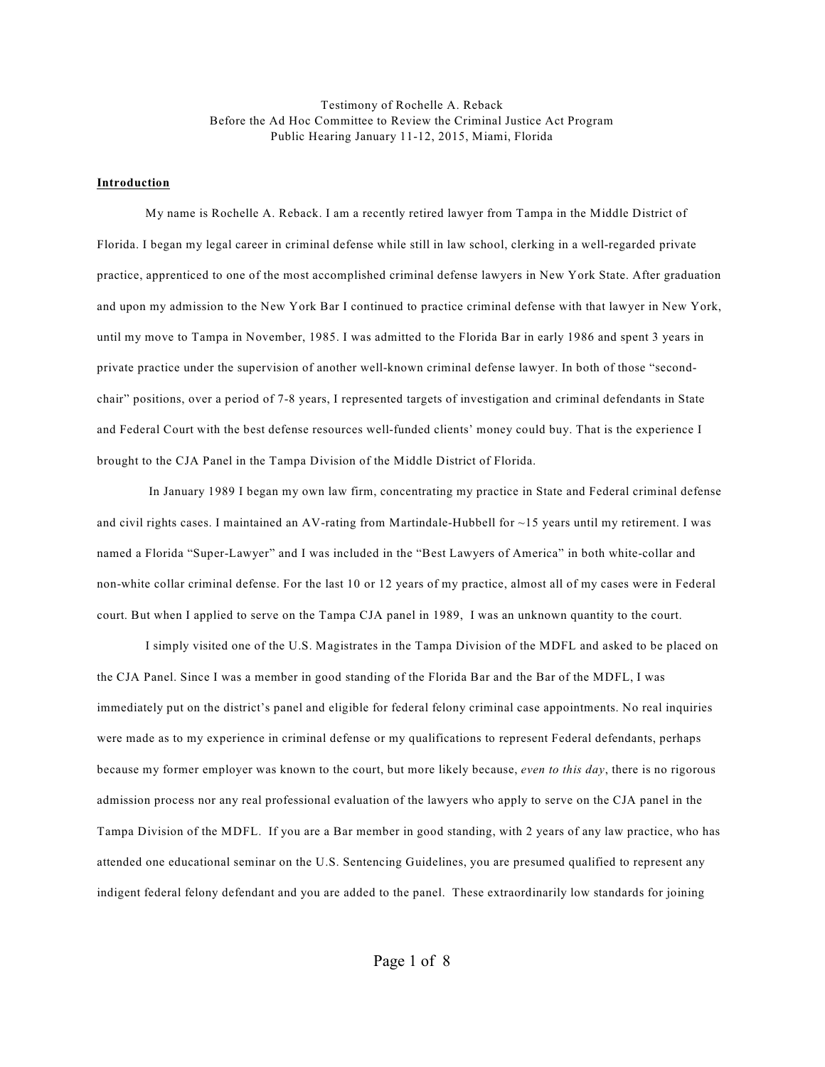Testimony of Rochelle A. Reback Before the Ad Hoc Committee to Review the Criminal Justice Act Program Public Hearing January 11-12, 2015, Miami, Florida

## **Introduction**

My name is Rochelle A. Reback. I am a recently retired lawyer from Tampa in the Middle District of Florida. I began my legal career in criminal defense while still in law school, clerking in a well-regarded private practice, apprenticed to one of the most accomplished criminal defense lawyers in New York State. After graduation and upon my admission to the New York Bar I continued to practice criminal defense with that lawyer in New York, until my move to Tampa in November, 1985. I was admitted to the Florida Bar in early 1986 and spent 3 years in private practice under the supervision of another well-known criminal defense lawyer. In both of those "secondchair" positions, over a period of 7-8 years, I represented targets of investigation and criminal defendants in State and Federal Court with the best defense resources well-funded clients' money could buy. That is the experience I brought to the CJA Panel in the Tampa Division of the Middle District of Florida.

In January 1989 I began my own law firm, concentrating my practice in State and Federal criminal defense and civil rights cases. I maintained an AV-rating from Martindale-Hubbell for ~15 years until my retirement. I was named a Florida "Super-Lawyer" and I was included in the "Best Lawyers of America" in both white-collar and non-white collar criminal defense. For the last 10 or 12 years of my practice, almost all of my cases were in Federal court. But when I applied to serve on the Tampa CJA panel in 1989, I was an unknown quantity to the court.

I simply visited one of the U.S. Magistrates in the Tampa Division of the MDFL and asked to be placed on the CJA Panel. Since I was a member in good standing of the Florida Bar and the Bar of the MDFL, I was immediately put on the district's panel and eligible for federal felony criminal case appointments. No real inquiries were made as to my experience in criminal defense or my qualifications to represent Federal defendants, perhaps because my former employer was known to the court, but more likely because, *even to this day*, there is no rigorous admission process nor any real professional evaluation of the lawyers who apply to serve on the CJA panel in the Tampa Division of the MDFL. If you are a Bar member in good standing, with 2 years of any law practice, who has attended one educational seminar on the U.S. Sentencing Guidelines, you are presumed qualified to represent any indigent federal felony defendant and you are added to the panel. These extraordinarily low standards for joining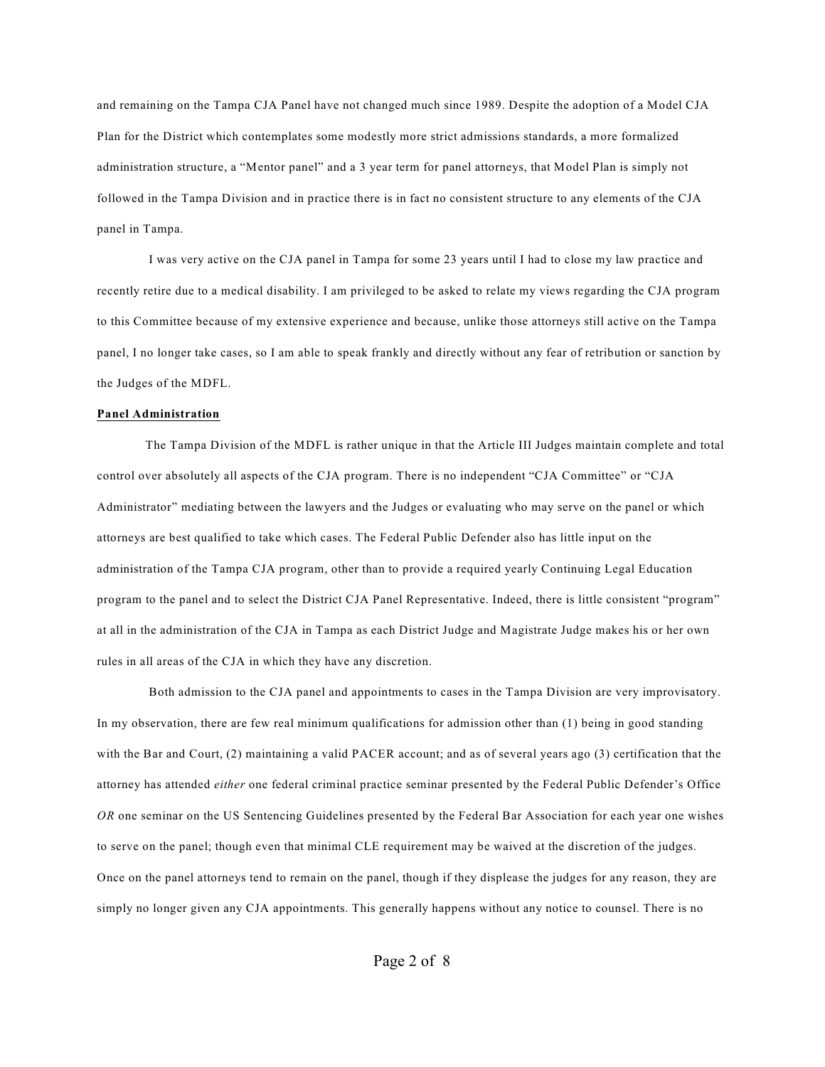and remaining on the Tampa CJA Panel have not changed much since 1989. Despite the adoption of a Model CJA Plan for the District which contemplates some modestly more strict admissions standards, a more formalized administration structure, a "Mentor panel" and a 3 year term for panel attorneys, that Model Plan is simply not followed in the Tampa Division and in practice there is in fact no consistent structure to any elements of the CJA panel in Tampa.

I was very active on the CJA panel in Tampa for some 23 years until I had to close my law practice and recently retire due to a medical disability. I am privileged to be asked to relate my views regarding the CJA program to this Committee because of my extensive experience and because, unlike those attorneys still active on the Tampa panel, I no longer take cases, so I am able to speak frankly and directly without any fear of retribution or sanction by the Judges of the MDFL.

## **Panel Administration**

The Tampa Division of the MDFL is rather unique in that the Article III Judges maintain complete and total control over absolutely all aspects of the CJA program. There is no independent "CJA Committee" or "CJA Administrator" mediating between the lawyers and the Judges or evaluating who may serve on the panel or which attorneys are best qualified to take which cases. The Federal Public Defender also has little input on the administration of the Tampa CJA program, other than to provide a required yearly Continuing Legal Education program to the panel and to select the District CJA Panel Representative. Indeed, there is little consistent "program" at all in the administration of the CJA in Tampa as each District Judge and Magistrate Judge makes his or her own rules in all areas of the CJA in which they have any discretion.

Both admission to the CJA panel and appointments to cases in the Tampa Division are very improvisatory. In my observation, there are few real minimum qualifications for admission other than (1) being in good standing with the Bar and Court, (2) maintaining a valid PACER account; and as of several years ago (3) certification that the attorney has attended *either* one federal criminal practice seminar presented by the Federal Public Defender's Office *OR* one seminar on the US Sentencing Guidelines presented by the Federal Bar Association for each year one wishes to serve on the panel; though even that minimal CLE requirement may be waived at the discretion of the judges. Once on the panel attorneys tend to remain on the panel, though if they displease the judges for any reason, they are simply no longer given any CJA appointments. This generally happens without any notice to counsel. There is no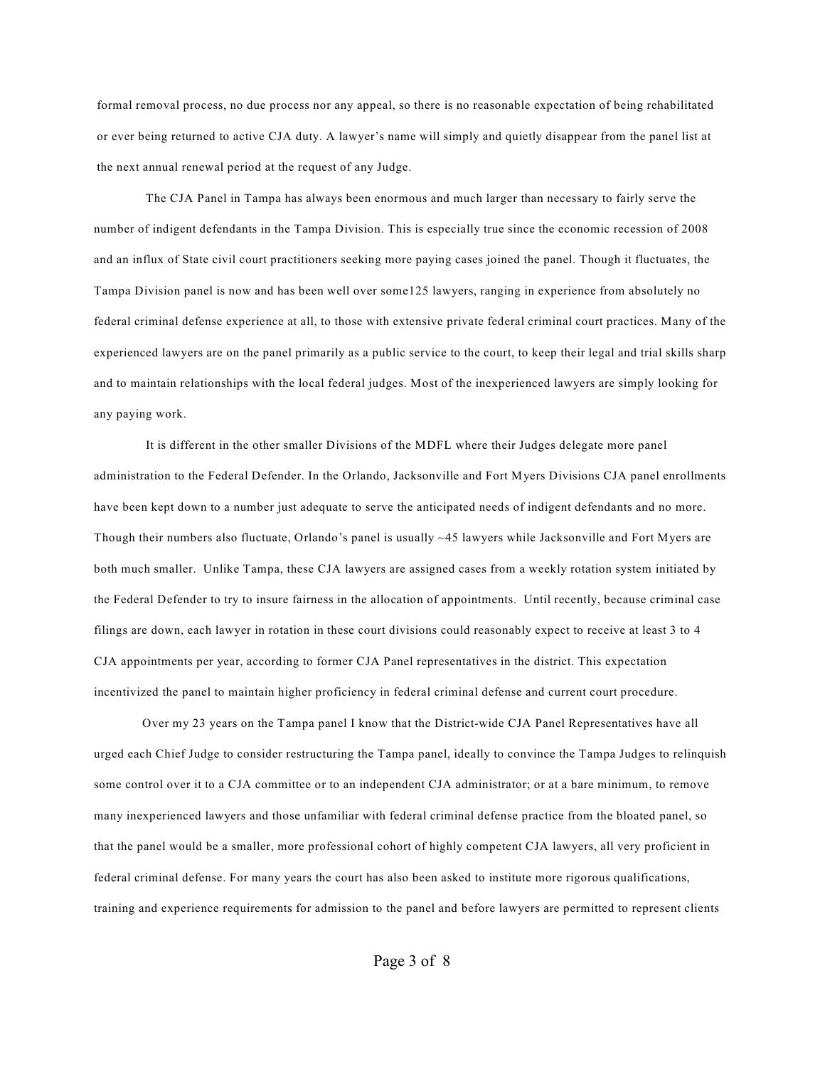formal removal process, no due process nor any appeal, so there is no reasonable expectation of being rehabilitated or ever being returned to active CJA duty. A lawyer's name will simply and quietly disappear from the panel list at the next annual renewal period at the request of any Judge.

The CJA Panel in Tampa has always been enormous and much larger than necessary to fairly serve the number of indigent defendants in the Tampa Division. This is especially true since the economic recession of 2008 and an influx of State civil court practitioners seeking more paying cases joined the panel. Though it fluctuates, the Tampa Division panel is now and has been well over some125 lawyers, ranging in experience from absolutely no federal criminal defense experience at all, to those with extensive private federal criminal court practices. Many of the experienced lawyers are on the panel primarily as a public service to the court, to keep their legal and trial skills sharp and to maintain relationships with the local federal judges. Most of the inexperienced lawyers are simply looking for any paying work.

It is different in the other smaller Divisions of the MDFL where their Judges delegate more panel administration to the Federal Defender. In the Orlando, Jacksonville and Fort Myers Divisions CJA panel enrollments have been kept down to a number just adequate to serve the anticipated needs of indigent defendants and no more. Though their numbers also fluctuate, Orlando's panel is usually ~45 lawyers while Jacksonville and Fort Myers are both much smaller. Unlike Tampa, these CJA lawyers are assigned cases from a weekly rotation system initiated by the Federal Defender to try to insure fairness in the allocation of appointments. Until recently, because criminal case filings are down, each lawyer in rotation in these court divisions could reasonably expect to receive at least 3 to 4 CJA appointments per year, according to former CJA Panel representatives in the district. This expectation incentivized the panel to maintain higher proficiency in federal criminal defense and current court procedure.

Over my 23 years on the Tampa panel I know that the District-wide CJA Panel Representatives have all urged each Chief Judge to consider restructuring the Tampa panel, ideally to convince the Tampa Judges to relinquish some control over it to a CJA committee or to an independent CJA administrator; or at a bare minimum, to remove many inexperienced lawyers and those unfamiliar with federal criminal defense practice from the bloated panel, so that the panel would be a smaller, more professional cohort of highly competent CJA lawyers, all very proficient in federal criminal defense. For many years the court has also been asked to institute more rigorous qualifications, training and experience requirements for admission to the panel and before lawyers are permitted to represent clients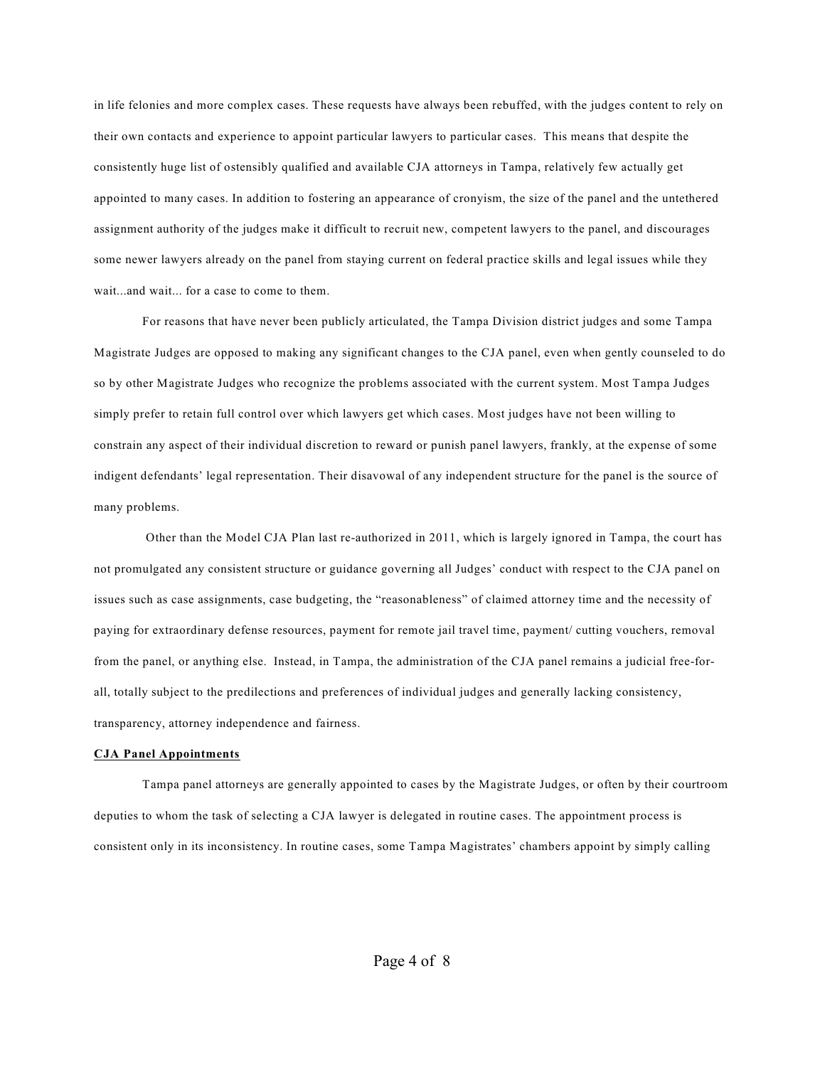in life felonies and more complex cases. These requests have always been rebuffed, with the judges content to rely on their own contacts and experience to appoint particular lawyers to particular cases. This means that despite the consistently huge list of ostensibly qualified and available CJA attorneys in Tampa, relatively few actually get appointed to many cases. In addition to fostering an appearance of cronyism, the size of the panel and the untethered assignment authority of the judges make it difficult to recruit new, competent lawyers to the panel, and discourages some newer lawyers already on the panel from staying current on federal practice skills and legal issues while they wait...and wait... for a case to come to them.

For reasons that have never been publicly articulated, the Tampa Division district judges and some Tampa Magistrate Judges are opposed to making any significant changes to the CJA panel, even when gently counseled to do so by other Magistrate Judges who recognize the problems associated with the current system. Most Tampa Judges simply prefer to retain full control over which lawyers get which cases. Most judges have not been willing to constrain any aspect of their individual discretion to reward or punish panel lawyers, frankly, at the expense of some indigent defendants' legal representation. Their disavowal of any independent structure for the panel is the source of many problems.

Other than the Model CJA Plan last re-authorized in 2011, which is largely ignored in Tampa, the court has not promulgated any consistent structure or guidance governing all Judges' conduct with respect to the CJA panel on issues such as case assignments, case budgeting, the "reasonableness" of claimed attorney time and the necessity of paying for extraordinary defense resources, payment for remote jail travel time, payment/ cutting vouchers, removal from the panel, or anything else. Instead, in Tampa, the administration of the CJA panel remains a judicial free-forall, totally subject to the predilections and preferences of individual judges and generally lacking consistency, transparency, attorney independence and fairness.

## **CJA Panel Appointments**

Tampa panel attorneys are generally appointed to cases by the Magistrate Judges, or often by their courtroom deputies to whom the task of selecting a CJA lawyer is delegated in routine cases. The appointment process is consistent only in its inconsistency. In routine cases, some Tampa Magistrates' chambers appoint by simply calling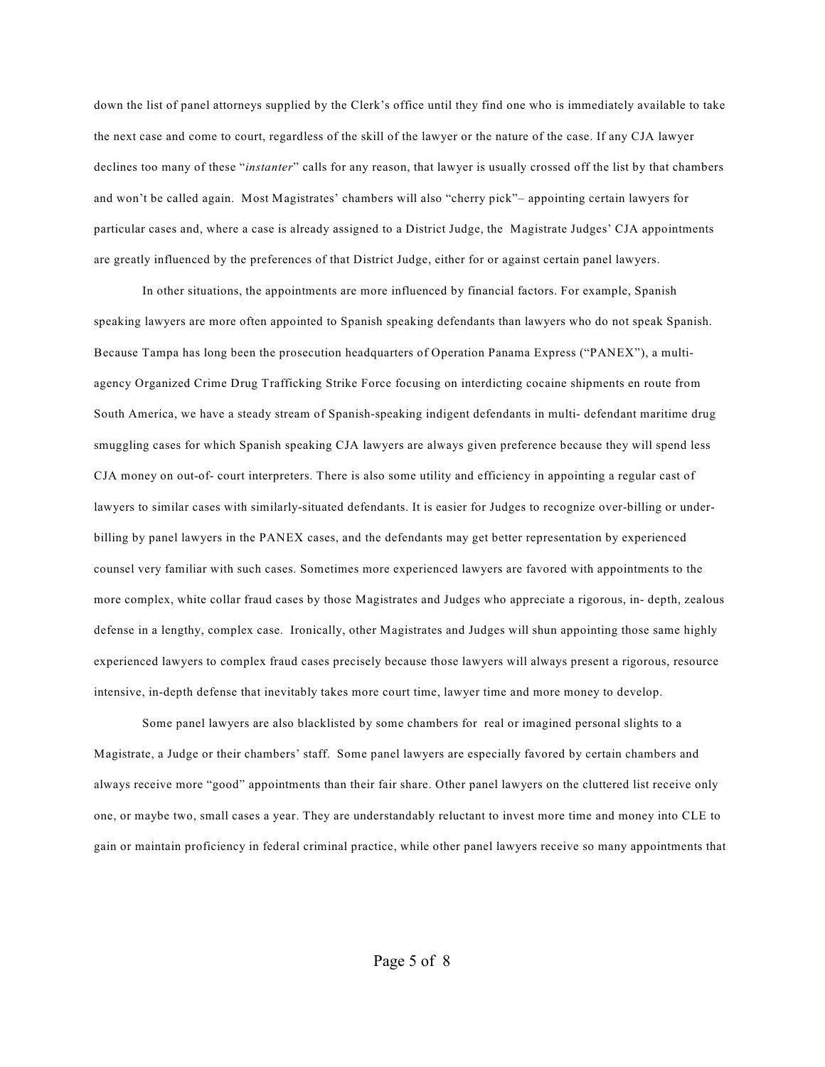down the list of panel attorneys supplied by the Clerk's office until they find one who is immediately available to take the next case and come to court, regardless of the skill of the lawyer or the nature of the case. If any CJA lawyer declines too many of these "*instanter*" calls for any reason, that lawyer is usually crossed off the list by that chambers and won't be called again. Most Magistrates' chambers will also "cherry pick"– appointing certain lawyers for particular cases and, where a case is already assigned to a District Judge, the Magistrate Judges' CJA appointments are greatly influenced by the preferences of that District Judge, either for or against certain panel lawyers.

In other situations, the appointments are more influenced by financial factors. For example, Spanish speaking lawyers are more often appointed to Spanish speaking defendants than lawyers who do not speak Spanish. Because Tampa has long been the prosecution headquarters of Operation Panama Express ("PANEX"), a multiagency Organized Crime Drug Trafficking Strike Force focusing on interdicting cocaine shipments en route from South America, we have a steady stream of Spanish-speaking indigent defendants in multi- defendant maritime drug smuggling cases for which Spanish speaking CJA lawyers are always given preference because they will spend less CJA money on out-of- court interpreters. There is also some utility and efficiency in appointing a regular cast of lawyers to similar cases with similarly-situated defendants. It is easier for Judges to recognize over-billing or underbilling by panel lawyers in the PANEX cases, and the defendants may get better representation by experienced counsel very familiar with such cases. Sometimes more experienced lawyers are favored with appointments to the more complex, white collar fraud cases by those Magistrates and Judges who appreciate a rigorous, in- depth, zealous defense in a lengthy, complex case. Ironically, other Magistrates and Judges will shun appointing those same highly experienced lawyers to complex fraud cases precisely because those lawyers will always present a rigorous, resource intensive, in-depth defense that inevitably takes more court time, lawyer time and more money to develop.

Some panel lawyers are also blacklisted by some chambers for real or imagined personal slights to a Magistrate, a Judge or their chambers' staff. Some panel lawyers are especially favored by certain chambers and always receive more "good" appointments than their fair share. Other panel lawyers on the cluttered list receive only one, or maybe two, small cases a year. They are understandably reluctant to invest more time and money into CLE to gain or maintain proficiency in federal criminal practice, while other panel lawyers receive so many appointments that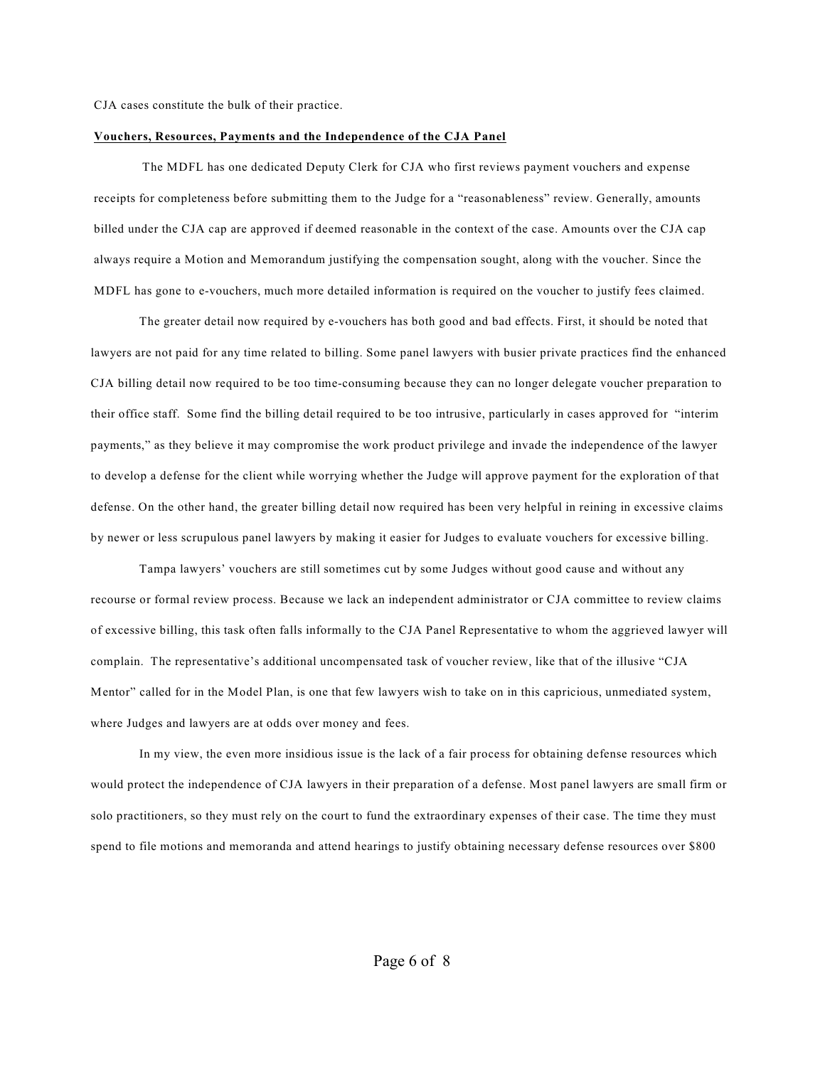CJA cases constitute the bulk of their practice.

## **Vouchers, Resources, Payments and the Independence of the CJA Panel**

The MDFL has one dedicated Deputy Clerk for CJA who first reviews payment vouchers and expense receipts for completeness before submitting them to the Judge for a "reasonableness" review. Generally, amounts billed under the CJA cap are approved if deemed reasonable in the context of the case. Amounts over the CJA cap always require a Motion and Memorandum justifying the compensation sought, along with the voucher. Since the MDFL has gone to e-vouchers, much more detailed information is required on the voucher to justify fees claimed.

The greater detail now required by e-vouchers has both good and bad effects. First, it should be noted that lawyers are not paid for any time related to billing. Some panel lawyers with busier private practices find the enhanced CJA billing detail now required to be too time-consuming because they can no longer delegate voucher preparation to their office staff. Some find the billing detail required to be too intrusive, particularly in cases approved for "interim payments," as they believe it may compromise the work product privilege and invade the independence of the lawyer to develop a defense for the client while worrying whether the Judge will approve payment for the exploration of that defense. On the other hand, the greater billing detail now required has been very helpful in reining in excessive claims by newer or less scrupulous panel lawyers by making it easier for Judges to evaluate vouchers for excessive billing.

Tampa lawyers' vouchers are still sometimes cut by some Judges without good cause and without any recourse or formal review process. Because we lack an independent administrator or CJA committee to review claims of excessive billing, this task often falls informally to the CJA Panel Representative to whom the aggrieved lawyer will complain. The representative's additional uncompensated task of voucher review, like that of the illusive "CJA Mentor" called for in the Model Plan, is one that few lawyers wish to take on in this capricious, unmediated system, where Judges and lawyers are at odds over money and fees.

In my view, the even more insidious issue is the lack of a fair process for obtaining defense resources which would protect the independence of CJA lawyers in their preparation of a defense. Most panel lawyers are small firm or solo practitioners, so they must rely on the court to fund the extraordinary expenses of their case. The time they must spend to file motions and memoranda and attend hearings to justify obtaining necessary defense resources over \$800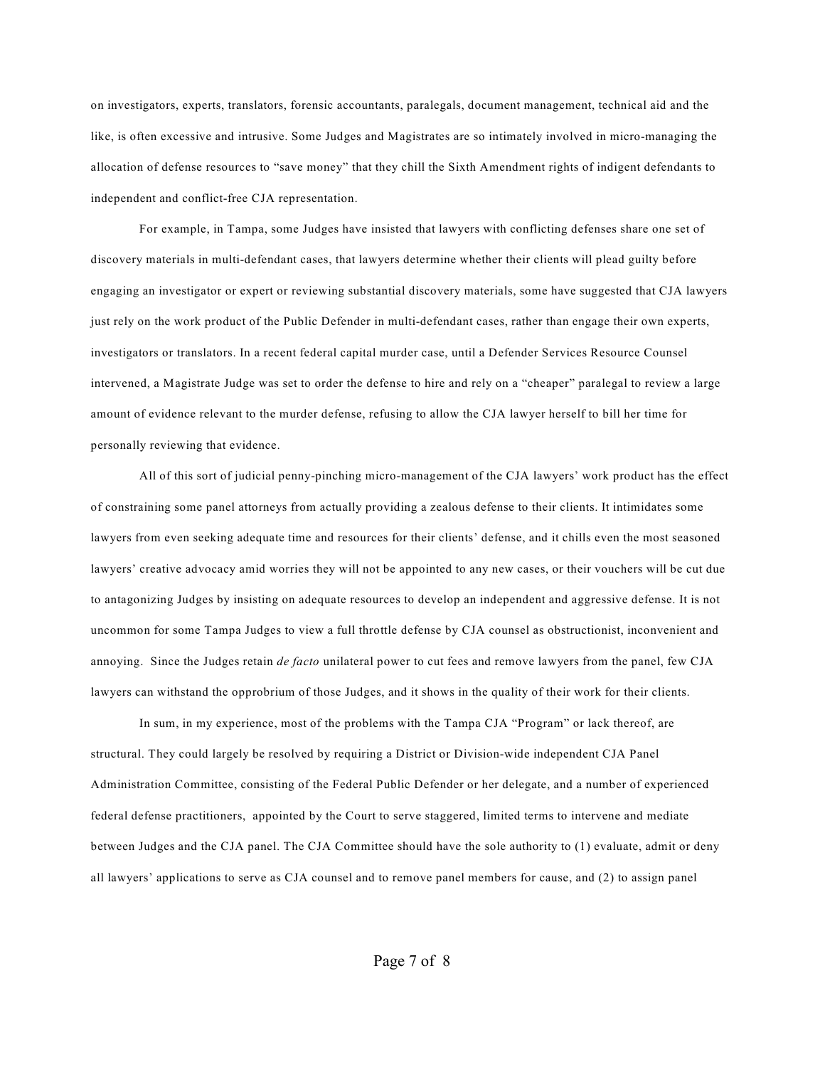on investigators, experts, translators, forensic accountants, paralegals, document management, technical aid and the like, is often excessive and intrusive. Some Judges and Magistrates are so intimately involved in micro-managing the allocation of defense resources to "save money" that they chill the Sixth Amendment rights of indigent defendants to independent and conflict-free CJA representation.

For example, in Tampa, some Judges have insisted that lawyers with conflicting defenses share one set of discovery materials in multi-defendant cases, that lawyers determine whether their clients will plead guilty before engaging an investigator or expert or reviewing substantial discovery materials, some have suggested that CJA lawyers just rely on the work product of the Public Defender in multi-defendant cases, rather than engage their own experts, investigators or translators. In a recent federal capital murder case, until a Defender Services Resource Counsel intervened, a Magistrate Judge was set to order the defense to hire and rely on a "cheaper" paralegal to review a large amount of evidence relevant to the murder defense, refusing to allow the CJA lawyer herself to bill her time for personally reviewing that evidence.

All of this sort of judicial penny-pinching micro-management of the CJA lawyers' work product has the effect of constraining some panel attorneys from actually providing a zealous defense to their clients. It intimidates some lawyers from even seeking adequate time and resources for their clients' defense, and it chills even the most seasoned lawyers' creative advocacy amid worries they will not be appointed to any new cases, or their vouchers will be cut due to antagonizing Judges by insisting on adequate resources to develop an independent and aggressive defense. It is not uncommon for some Tampa Judges to view a full throttle defense by CJA counsel as obstructionist, inconvenient and annoying. Since the Judges retain *de facto* unilateral power to cut fees and remove lawyers from the panel, few CJA lawyers can withstand the opprobrium of those Judges, and it shows in the quality of their work for their clients.

In sum, in my experience, most of the problems with the Tampa CJA "Program" or lack thereof, are structural. They could largely be resolved by requiring a District or Division-wide independent CJA Panel Administration Committee, consisting of the Federal Public Defender or her delegate, and a number of experienced federal defense practitioners, appointed by the Court to serve staggered, limited terms to intervene and mediate between Judges and the CJA panel. The CJA Committee should have the sole authority to (1) evaluate, admit or deny all lawyers' applications to serve as CJA counsel and to remove panel members for cause, and (2) to assign panel